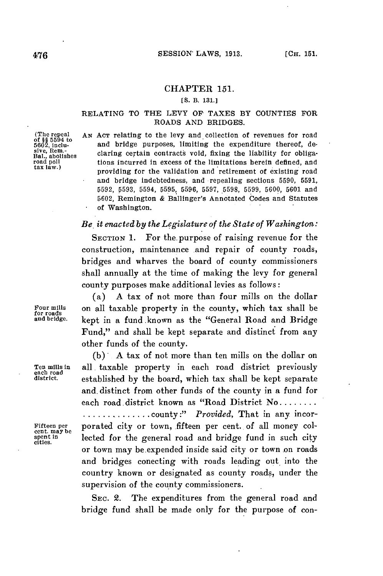## **CHAPTER 151.**

## **[S.** B. **131.]**

## RELATING TO THE LEVY OF **TAXES** BY **COUNTIES** FOR ROADS **AND** BRIDGES.

(The repeal<br>of  $\S$  $\S$  5594 to<br>5602, inclu-<br>sive, Rem.-<br>Bal., abolishes

AN ACT relating to the levy and collection of revenues for road and bridge purposes, limiting the expenditure thereof, desive, Rem.-<br>Bal., abolishes claring certain contracts void, fixing the liability for obliga-<br>road politicians incurred in excess of the limitations herein defined, and<br>tax law.) tions incurred in excess of the limitations herein defined, and providing for the validation and retirement of existing road and bridge indebtedness, and repealing sections **5590, 5591, 5592, 5593,** 5594, **5595, 5596, 5597, .5598, 5599, 5600, 5601** and **5602,** Remington **&** Ballinger's Annotated Codes and Statutes of Washington.

## *Be. it enacted by the Legislature of the State of Washington:*

SECTION **1.** For the. purpose of raising revenue for the construction, maintenance and repair of county roads, bridges and wharves the board of county commissioners shall annually at the time of making the levy for general county purposes make additional levies as follows:

(a) **A** tax of not more than four mills on the dollar Four mills on all taxable property in the county, which tax shall be for roads and bridge, kept in a fund .known as the "General Road and Bridge Fund," and shall be kept separate and distinct from any other funds of the county.

**(b) A** tax of not more than ten mills on the dollar on Ten mills in all, taxable property in each road district previously<br>each road established by the board, which tax shall be kept separate and. distinct from other funds of the county in a fund for each road. district known as "Road District **No........ ..............** county:" *Provided,* That in any incor-Fifteen per porated city or town, fifteen per cent. of all money collected for the general road and bridge fund in such city or town may be.expended inside said city or town .on roads and bridges conecting with roads leading out. into the country known or designated as county roads, under the supervision of the county commissioners.

> **SEC.** 2. The expenditures from the general road and bridge fund shall be made only for the purpose of con-

cent. may be<br>spent in<br>cities.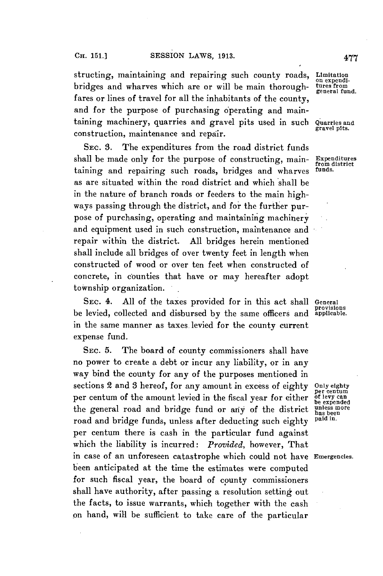structing, maintaining and repairing such county roads, **Limitation** bridges and wharves which are or will be main thoroughfares or lines of travel for all the inhabitants of the county, and for the purpose of purchasing operating and maintaining machinery, quarries and gravel pits used in such **Quarries and** construction, maintenance and repair.

SEc. **3.** The expenditures from the road district funds shall be made only for the purpose of constructing, main- **Expenditures** taining and repairing such roads, bridges and wharves as are situated within the road district and which shall be in the nature of branch roads or feeders to the main highways passing through the district, and for the further purpose of purchasing, operating and maintaining machinery and equipment used in such construction, maintenance and repair within the district. **All** bridges herein mentioned shall include all bridges of over twenty feet in length when constructed of wood or over ten feet when constructed of concrete, in counties that have or may hereafter adopt township organization.

SEc. 4. **All** of the taxes provided for in this act shall **General provisions** be levied, collected and disbursed **by** the same officers and **applicable.** in the same manner as taxes.levied for the county current expense fund.

SEc. **5.** The board of county commissioners shall have no power to create a debt or incur any liability, or in any way bind the county for any of the purposes mentioned in sections 2 and **3** hereof, for any amount in excess of eighty **Only eighty** per centum of the amount levied in the fiscal year for either **of levy can**<br>the general road and bridge fund on evit of the district unless more the general road and bridge fund or any of the district unless more than the been<br>road and bridge funds unless ofter deducting such eights we had in. road and bridge funds, unless after deducting such eighty per centum there is cash in the particular fund against which the liability is incurred: *Provided,* however, That in case of an unforeseen catastrophe which could not have **Emergencies.** been anticipated at the time the estimates were computed for such fiscal year, the board of county commissioners shall have authority, after passing a resolution setting out the facts, to issue warrants, which together with the cash on hand, will be sufficient to take care of the particular

**on expendigeneral fund.**

from **dis** trict

**per centum**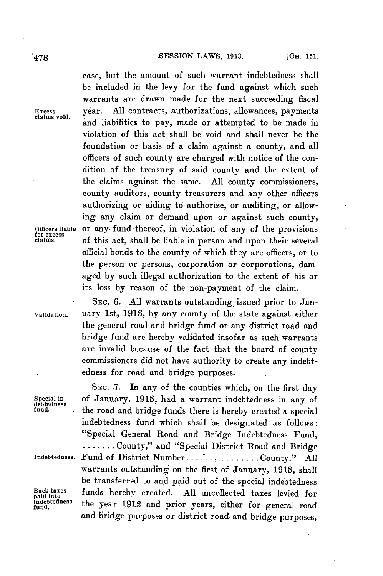case, but the amount of such warrant indebtedness shall be included in the levy for the fund against which such warrants are drawn made for the next succeeding fiscal **Excess** year. **All** contracts, authorizations, allowances, payments **claims void.** <sup>y</sup> and liabilities to pay, made or attempted to be made in violation of this act shall be void and shall never be the foundation or basis of a claim against a county, and all officers of such county are charged with notice of the condition of the treasury of said county and the extent of the claims against the same. **All** county commissioners, county auditors, county treasurers and any other officers authorizing or aiding to authorize, or auditing, or allowing any claim or demand upon or against such county, **Officers liable** or any fund-thereof, in violation of any of the provisions **for excess claims.** of this act, shall be liable in person and upon their several official bonds to the county of which they are officers, or to the person or persons, corporation or corporations, damaged **by** such illegal authorization to the extent of his or its loss **by** reason of the non-payment of the claim.

SEC. 6. All warrants outstanding issued prior to Jan-**Validation.** uary Ist, **1913, by** any county of the state against either the.general road and bridge fund or any district road and bridge fund are hereby validated insofar as such warrants are invalid because of the fact that the board of county commissioners did not have authority to create any indebtedness for road and bridge purposes.

SEC. 7. In any of the counties which, on the first day Special in- of January, **1913,** had a warrant indebtedness in any **of** debtedness **fund.** the road and bridge funds there is hereby created a special indebtedness fund which shall be designated as follows: "Special General Road and Bridge Indebtedness Fund, **.......** County," and "Special District Road and Bridge **Indebtedness.** Fund of District **Number....... ........ County." All** warrants outstanding on the first of January, **1913,** shall be transferred to and paid out of the special indebtedness Back taxes **funds** hereby created. All uncollected taxes levied for indicate the series of the paid into the series of the series of the series of the series of the series of the series of the series of the series of the s **fund.** the year **1912** and prior years, either for general road and bridge purposes or district road- and bridge purposes,